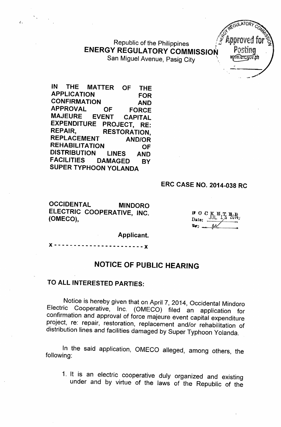Republic of the Philippines ENERGY REGULATORY COMMISSION San Miguel Avenue, Pasig City



IN THE MATTER OF THE APPLICATION FOR CONFIRMATION AND APPROVAL OF FORCE MAJEURE EVENT CAPITAL EXPENDITURE PROJECT, RE: REPAIR, RESTORATION, REPLACEMENT AND/OR REHABILITATION OF DISTRIBUTION LINES AND<br>FACILITIES DAMAGED BY DAMAGED BY SUPER TYPHOON YOLANDA

 $\zeta$ 

#### **ERC CASE NO. 2014-038 RC**

OCCIDENTAL MINDORO ELECTRIC COOPERATIVE, INC. FOR ET PORT TILL TO USE OF A THE PORT OF A THE PORT OF A THE PORT OF A THE PORT OF A THE PORT OF A THE PORT OF A THE PORT OF A THE PORT OF A THE PORT OF A THE PORT OF A THE PORT OF A THE PORT OF

 $Date:$   $191.50$   $0.004$ *~:\_ td. \_.\_-..*

Applicant.

)( - - - - - - - - - - - - - - - - - - - - - - - )(

# NOTICE OF PUBLIC HEARING

#### TO All INTERESTED PARTIES:

Notice is hereby given that on April 7,2014, Occidental Mindoro Electric Cooperative, Inc. (OMECO) filed an application for confirmation and approval of force majeure event capital expenditure project, re: repair, restoration, replacement and/or rehabilitation of distribution lines and facilities damaged by Super Typhoon Yolanda.

In the said application, OMECO alleged, among others, the following:

1. It is an electric cooperative duly organized and existing under and by virtue of the laws of the Republic of the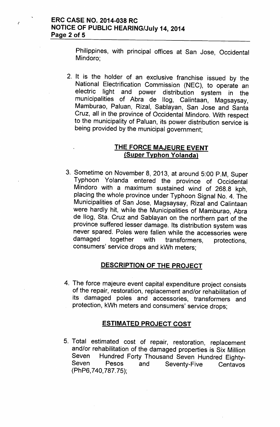Philippines, with principal offices at San Jose, Occidental Mindoro;

2. It is the holder of an exclusive franchise issued by the National Electrification Commission (NEC), to operate an electric light and power distribution system in the municipalities of Abra de 1I0g, Calintaan, Magsaysay, Mamburao, Paluan, Rizal, Sablayan, San Jose and Santa Cruz, all in the province of Occidental Mindoro. With respect to the municipality of Paluan, its power distribution service is being provided by the municipal government;

#### **THE FORCE MAJEURE EVENT ISuper Typhon YOlandal**

3. Sometime on November 8, 2013, at around 5:00 P.M, Super Typhoon Yolanda entered the province of Occidental Mindoro with a maximum sustained wind of 268.8 kph, placing the whole province under Typhoon Signal No. 4. The Municipalities of San Jose, Magsaysay, Rizal and Calintaan were hardly hit, while the Municipalities of Mamburao, Abra de IIog, Sta. Cruz and Sablayan on the northern part of the province suffered lesser damage. Its distribution system was never spared. Poles were fallen while the accessories were damaged together with transformers, protections, consumers' service drops and kWh meters;

## **DESCRIPTION OF THE PROJECT**

4. The force majeure event capital expenditure project consists of the repair, restoration, replacement and/or rehabilitation of its damaged poles and accessories, transformers and protection, kWh meters and consumers' service drops;

## **ESTIMATED PROJECT COST**

5. Total estimated cost of repair, restoration, replacement and/or rehabilitation of the damaged properties is Six Million Seven Hundred Forty Thousand Seven Hundred Eighty-Seven Pesos and Seventy-Five Centavos (PhP6, 740, 787. 75);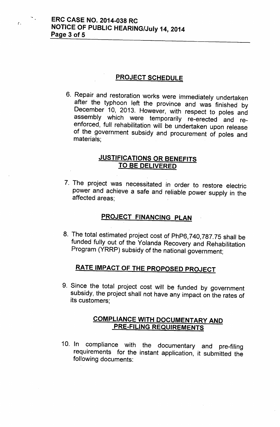#### **PROJECT SCHEDULE**

6. Repair and restoration works were immediately undertaken after the typhoon left the province and was finished by December 10, 2013. However, with respect to poles and assembly which were temporarily re-erected and reenforced, full rehabilitation will be undertaken upon release of the government subsidy and procurement of poles and materials;

## **JUSTIFICATIONS OR BENEFITS** TO BE **DELIVERED**

7. The project was necessitated in order to restore electric power and achieve a safe and reliable power supply in the affected areas;

## **PROJECT FINANCING PLAN**

8. The total estimated project cost of PhP6, 740,787.75 shall be funded fully out of the Yolanda Recovery and Rehabilitation Program (YRRP) subsidy of the national government;

## RATE IMPACT OF THE PROPOSED PROJECT

9. Since the total project cost will be funded by government subsidy, the project shall not have any impact on the rates of its customers;

### **COMPLIANCE WITH DOCUMENTARY AND PRE-FILING REQUIREMENTS**

10. In compliance with the documentary and pre-filing requirements for the instant application, it submitted the following documents: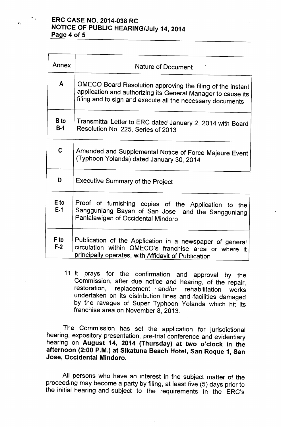#### ERC CASE NO. 2014-038 RC NOTICE OF PUBLIC HEARING/July 14, 2014 Page 4 of 5

| Annex                    | <b>Nature of Document</b>                                                                                                                                                                |
|--------------------------|------------------------------------------------------------------------------------------------------------------------------------------------------------------------------------------|
| $\mathbf{A}$             | OMECO Board Resolution approving the filing of the instant<br>application and authorizing its General Manager to cause its<br>filing and to sign and execute all the necessary documents |
| B <sub>to</sub><br>$B-1$ | Transmittal Letter to ERC dated January 2, 2014 with Board<br>Resolution No. 225, Series of 2013                                                                                         |
| $\mathbf{C}$             | Amended and Supplemental Notice of Force Majeure Event<br>(Typhoon Yolanda) dated January 30, 2014                                                                                       |
| D                        | <b>Executive Summary of the Project</b>                                                                                                                                                  |
| E to<br>$E-1$            | Proof of furnishing copies of the Application to the<br>Sangguniang Bayan of San Jose and the Sangguniang<br>Panlalawigan of Occidental Mindoro                                          |
| F to<br>$F-2$            | Publication of the Application in a newspaper of general<br>circulation within OMECO's franchise area or where it<br>principally operates, with Affidavit of Publication                 |

11. It prays for. the confirmation and approval by the Commission, after due notice and hearing, of the repair, restoration. replacement and/or rehabilitation works replacement and/or rehabilitation works undertaken on its distribution lines and facilities damaged by the ravages of Super Typhoon Yolanda which hit its franchise area on November 8, 2013.

The Commission has set the application for jurisdictional hearing, expository presentation, pre-trial conference and evidentiary hearing on August 14, 2014 (Thursday) at two o'clock in the afternoon (2:00 P.M.) at Sikatuna Beach Hotel, San Roque 1, San Jose, Occidental Mindoro.

All persons who have an interest in the subject matter of the proceeding may become a party by filing, at least five (5) days prior to the initial hearing and subject to the requirements in the ERC's

 $\mathcal{I}$ .